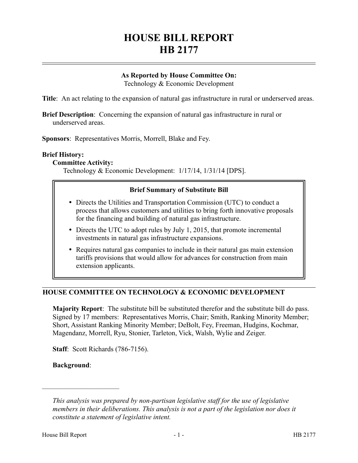# **HOUSE BILL REPORT HB 2177**

# **As Reported by House Committee On:**

Technology & Economic Development

**Title**: An act relating to the expansion of natural gas infrastructure in rural or underserved areas.

**Brief Description**: Concerning the expansion of natural gas infrastructure in rural or underserved areas.

**Sponsors**: Representatives Morris, Morrell, Blake and Fey.

# **Brief History:**

#### **Committee Activity:**

Technology & Economic Development: 1/17/14, 1/31/14 [DPS].

#### **Brief Summary of Substitute Bill**

- Directs the Utilities and Transportation Commission (UTC) to conduct a process that allows customers and utilities to bring forth innovative proposals for the financing and building of natural gas infrastructure.
- Directs the UTC to adopt rules by July 1, 2015, that promote incremental investments in natural gas infrastructure expansions.
- Requires natural gas companies to include in their natural gas main extension tariffs provisions that would allow for advances for construction from main extension applicants.

#### **HOUSE COMMITTEE ON TECHNOLOGY & ECONOMIC DEVELOPMENT**

**Majority Report**: The substitute bill be substituted therefor and the substitute bill do pass. Signed by 17 members: Representatives Morris, Chair; Smith, Ranking Minority Member; Short, Assistant Ranking Minority Member; DeBolt, Fey, Freeman, Hudgins, Kochmar, Magendanz, Morrell, Ryu, Stonier, Tarleton, Vick, Walsh, Wylie and Zeiger.

**Staff**: Scott Richards (786-7156).

**Background**:

––––––––––––––––––––––

*This analysis was prepared by non-partisan legislative staff for the use of legislative members in their deliberations. This analysis is not a part of the legislation nor does it constitute a statement of legislative intent.*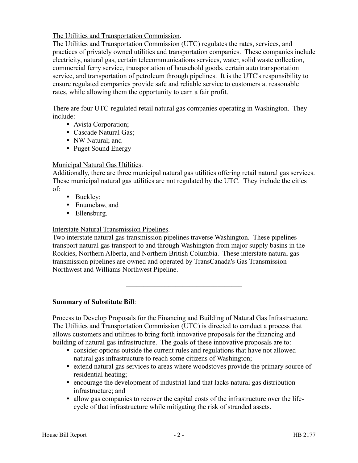The Utilities and Transportation Commission.

The Utilities and Transportation Commission (UTC) regulates the rates, services, and practices of privately owned utilities and transportation companies. These companies include electricity, natural gas, certain telecommunications services, water, solid waste collection, commercial ferry service, transportation of household goods, certain auto transportation service, and transportation of petroleum through pipelines. It is the UTC's responsibility to ensure regulated companies provide safe and reliable service to customers at reasonable rates, while allowing them the opportunity to earn a fair profit.

There are four UTC-regulated retail natural gas companies operating in Washington. They include:

- Avista Corporation;
- Cascade Natural Gas;
- NW Natural; and
- Puget Sound Energy

# Municipal Natural Gas Utilities.

Additionally, there are three municipal natural gas utilities offering retail natural gas services. These municipal natural gas utilities are not regulated by the UTC. They include the cities of:

- Buckley;
- Enumclaw, and
- Ellensburg.

# Interstate Natural Transmission Pipelines.

Two interstate natural gas transmission pipelines traverse Washington. These pipelines transport natural gas transport to and through Washington from major supply basins in the Rockies, Northern Alberta, and Northern British Columbia. These interstate natural gas transmission pipelines are owned and operated by TransCanada's Gas Transmission Northwest and Williams Northwest Pipeline.

–––––––––––––––––––––––––––––––––

**Summary of Substitute Bill**:

Process to Develop Proposals for the Financing and Building of Natural Gas Infrastructure. The Utilities and Transportation Commission (UTC) is directed to conduct a process that allows customers and utilities to bring forth innovative proposals for the financing and building of natural gas infrastructure. The goals of these innovative proposals are to:

- consider options outside the current rules and regulations that have not allowed natural gas infrastructure to reach some citizens of Washington;
- extend natural gas services to areas where woodstoves provide the primary source of residential heating;
- encourage the development of industrial land that lacks natural gas distribution infrastructure; and
- allow gas companies to recover the capital costs of the infrastructure over the lifecycle of that infrastructure while mitigating the risk of stranded assets.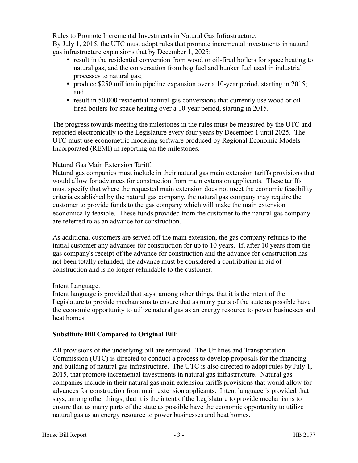Rules to Promote Incremental Investments in Natural Gas Infrastructure.

By July 1, 2015, the UTC must adopt rules that promote incremental investments in natural gas infrastructure expansions that by December 1, 2025:

- result in the residential conversion from wood or oil-fired boilers for space heating to natural gas, and the conversation from hog fuel and bunker fuel used in industrial processes to natural gas;
- produce \$250 million in pipeline expansion over a 10-year period, starting in 2015; and
- result in 50,000 residential natural gas conversions that currently use wood or oilfired boilers for space heating over a 10-year period, starting in 2015.

The progress towards meeting the milestones in the rules must be measured by the UTC and reported electronically to the Legislature every four years by December 1 until 2025. The UTC must use econometric modeling software produced by Regional Economic Models Incorporated (REMI) in reporting on the milestones.

# Natural Gas Main Extension Tariff.

Natural gas companies must include in their natural gas main extension tariffs provisions that would allow for advances for construction from main extension applicants. These tariffs must specify that where the requested main extension does not meet the economic feasibility criteria established by the natural gas company, the natural gas company may require the customer to provide funds to the gas company which will make the main extension economically feasible. These funds provided from the customer to the natural gas company are referred to as an advance for construction.

As additional customers are served off the main extension, the gas company refunds to the initial customer any advances for construction for up to 10 years. If, after 10 years from the gas company's receipt of the advance for construction and the advance for construction has not been totally refunded, the advance must be considered a contribution in aid of construction and is no longer refundable to the customer.

# Intent Language.

Intent language is provided that says, among other things, that it is the intent of the Legislature to provide mechanisms to ensure that as many parts of the state as possible have the economic opportunity to utilize natural gas as an energy resource to power businesses and heat homes.

# **Substitute Bill Compared to Original Bill**:

All provisions of the underlying bill are removed. The Utilities and Transportation Commission (UTC) is directed to conduct a process to develop proposals for the financing and building of natural gas infrastructure. The UTC is also directed to adopt rules by July 1, 2015, that promote incremental investments in natural gas infrastructure. Natural gas companies include in their natural gas main extension tariffs provisions that would allow for advances for construction from main extension applicants. Intent language is provided that says, among other things, that it is the intent of the Legislature to provide mechanisms to ensure that as many parts of the state as possible have the economic opportunity to utilize natural gas as an energy resource to power businesses and heat homes.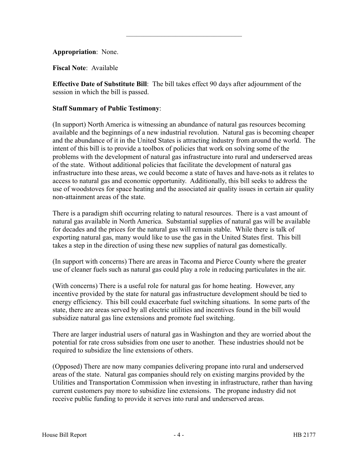# **Appropriation**: None.

**Fiscal Note**: Available

**Effective Date of Substitute Bill**: The bill takes effect 90 days after adjournment of the session in which the bill is passed.

–––––––––––––––––––––––––––––––––

## **Staff Summary of Public Testimony**:

(In support) North America is witnessing an abundance of natural gas resources becoming available and the beginnings of a new industrial revolution. Natural gas is becoming cheaper and the abundance of it in the United States is attracting industry from around the world. The intent of this bill is to provide a toolbox of policies that work on solving some of the problems with the development of natural gas infrastructure into rural and underserved areas of the state. Without additional policies that facilitate the development of natural gas infrastructure into these areas, we could become a state of haves and have-nots as it relates to access to natural gas and economic opportunity. Additionally, this bill seeks to address the use of woodstoves for space heating and the associated air quality issues in certain air quality non-attainment areas of the state.

There is a paradigm shift occurring relating to natural resources. There is a vast amount of natural gas available in North America. Substantial supplies of natural gas will be available for decades and the prices for the natural gas will remain stable. While there is talk of exporting natural gas, many would like to use the gas in the United States first. This bill takes a step in the direction of using these new supplies of natural gas domestically.

(In support with concerns) There are areas in Tacoma and Pierce County where the greater use of cleaner fuels such as natural gas could play a role in reducing particulates in the air.

(With concerns) There is a useful role for natural gas for home heating. However, any incentive provided by the state for natural gas infrastructure development should be tied to energy efficiency. This bill could exacerbate fuel switching situations. In some parts of the state, there are areas served by all electric utilities and incentives found in the bill would subsidize natural gas line extensions and promote fuel switching.

There are larger industrial users of natural gas in Washington and they are worried about the potential for rate cross subsidies from one user to another. These industries should not be required to subsidize the line extensions of others.

(Opposed) There are now many companies delivering propane into rural and underserved areas of the state. Natural gas companies should rely on existing margins provided by the Utilities and Transportation Commission when investing in infrastructure, rather than having current customers pay more to subsidize line extensions. The propane industry did not receive public funding to provide it serves into rural and underserved areas.